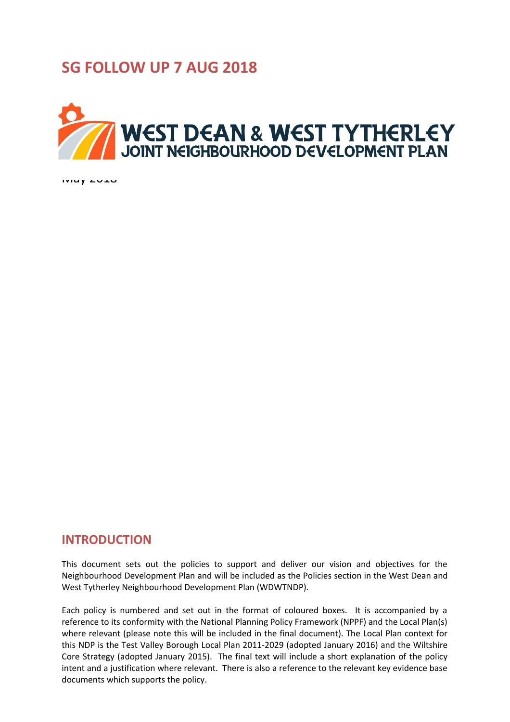# **SG FOLLOW UP 7 AUG 2018**



May 2018

# **INTRODUCTION**

This document sets out the policies to support and deliver our vision and objectives for the Neighbourhood Development Plan and will be included as the Policies section in the West Dean and West Tytherley Neighbourhood Development Plan (WDWTNDP).

Each policy is numbered and set out in the format of coloured boxes. It is accompanied by a reference to its conformity with the National Planning Policy Framework (NPPF) and the Local Plan(s) where relevant (please note this will be included in the final document). The Local Plan context for this NDP is the Test Valley Borough Local Plan 2011-2029 (adopted January 2016) and the Wiltshire Core Strategy (adopted January 2015). The final text will include a short explanation of the policy intent and a justification where relevant. There is also a reference to the relevant key evidence base documents which supports the policy.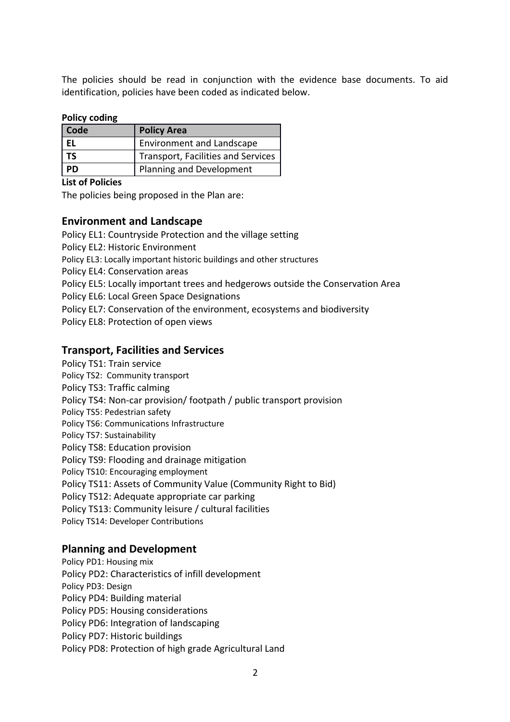The policies should be read in conjunction with the evidence base documents. To aid identification, policies have been coded as indicated below.

## **Policy coding**

| Code | <b>Policy Area</b>                 |
|------|------------------------------------|
| EL   | <b>Environment and Landscape</b>   |
| TS   | Transport, Facilities and Services |
| PD   | Planning and Development           |

## **List of Policies**

The policies being proposed in the Plan are:

# **Environment and Landscape**

Policy EL1: Countryside Protection and the village setting Policy EL2: Historic Environment Policy EL3: Locally important historic buildings and other structures Policy EL4: Conservation areas Policy EL5: Locally important trees and hedgerows outside the Conservation Area Policy EL6: Local Green Space Designations Policy EL7: Conservation of the environment, ecosystems and biodiversity Policy EL8: Protection of open views

# **Transport, Facilities and Services**

Policy TS1: Train service

Policy TS2: Community transport

Policy TS3: Traffic calming

Policy TS4: Non-car provision/ footpath / public transport provision

Policy TS5: Pedestrian safety

Policy TS6: Communications Infrastructure

Policy TS7: Sustainability

Policy TS8: Education provision

Policy TS9: Flooding and drainage mitigation

Policy TS10: Encouraging employment

Policy TS11: Assets of Community Value (Community Right to Bid)

Policy TS12: Adequate appropriate car parking

Policy TS13: Community leisure / cultural facilities

Policy TS14: Developer Contributions

# **Planning and Development**

Policy PD1: Housing mix Policy PD2: Characteristics of infill development Policy PD3: Design Policy PD4: Building material Policy PD5: Housing considerations Policy PD6: Integration of landscaping Policy PD7: Historic buildings Policy PD8: Protection of high grade Agricultural Land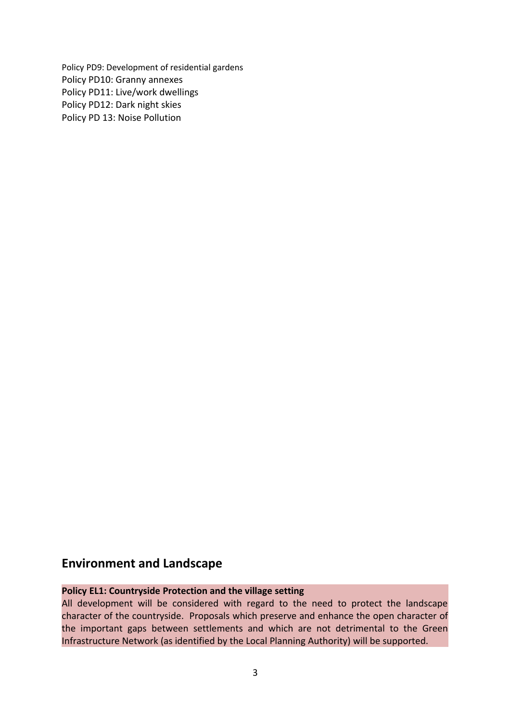Policy PD9: Development of residential gardens Policy PD10: Granny annexes Policy PD11: Live/work dwellings Policy PD12: Dark night skies Policy PD 13: Noise Pollution

# **Environment and Landscape**

# **Policy EL1: Countryside Protection and the village setting**

All development will be considered with regard to the need to protect the landscape character of the countryside. Proposals which preserve and enhance the open character of the important gaps between settlements and which are not detrimental to the Green Infrastructure Network (as identified by the Local Planning Authority) will be supported.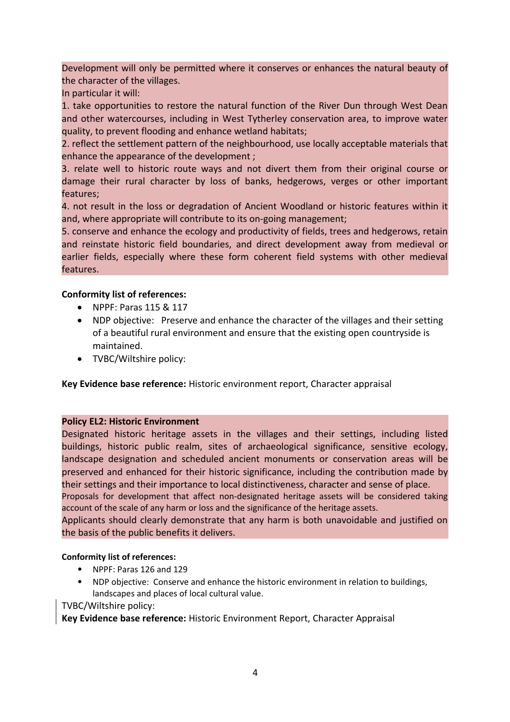Development will only be permitted where it conserves or enhances the natural beauty of the character of the villages.

In particular it will:

1. take opportunities to restore the natural function of the River Dun through West Dean and other watercourses, including in West Tytherley conservation area, to improve water quality, to prevent flooding and enhance wetland habitats;

2. reflect the settlement pattern of the neighbourhood, use locally acceptable materials that enhance the appearance of the development ;

3. relate well to historic route ways and not divert them from their original course or damage their rural character by loss of banks, hedgerows, verges or other important features;

4. not result in the loss or degradation of Ancient Woodland or historic features within it and, where appropriate will contribute to its on-going management;

5. conserve and enhance the ecology and productivity of fields, trees and hedgerows, retain and reinstate historic field boundaries, and direct development away from medieval or earlier fields, especially where these form coherent field systems with other medieval features.

## **Conformity list of references:**

- NPPF: Paras 115 & 117
- NDP objective: Preserve and enhance the character of the villages and their setting of a beautiful rural environment and ensure that the existing open countryside is maintained.
- TVBC/Wiltshire policy:

**Key Evidence base reference:** Historic environment report, Character appraisal

## **Policy EL2: Historic Environment**

Designated historic heritage assets in the villages and their settings, including listed buildings, historic public realm, sites of archaeological significance, sensitive ecology, landscape designation and scheduled ancient monuments or conservation areas will be preserved and enhanced for their historic significance, including the contribution made by their settings and their importance to local distinctiveness, character and sense of place.

Proposals for development that affect non-designated heritage assets will be considered taking account of the scale of any harm or loss and the significance of the heritage assets.

Applicants should clearly demonstrate that any harm is both unavoidable and justified on the basis of the public benefits it delivers.

## **Conformity list of references:**

- NPPF: Paras 126 and 129
- NDP objective: Conserve and enhance the historic environment in relation to buildings, landscapes and places of local cultural value.

TVBC/Wiltshire policy:

**Key Evidence base reference:** Historic Environment Report, Character Appraisal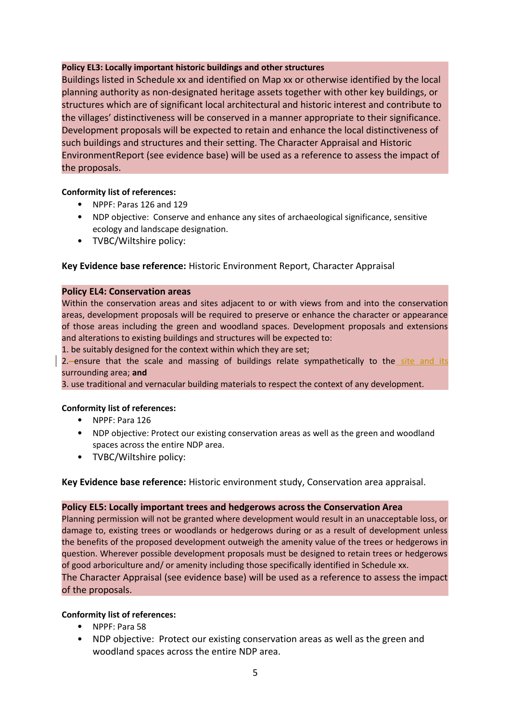#### **Policy EL3: Locally important historic buildings and other structures**

Buildings listed in Schedule xx and identified on Map xx or otherwise identified by the local planning authority as non-designated heritage assets together with other key buildings, or structures which are of significant local architectural and historic interest and contribute to the villages' distinctiveness will be conserved in a manner appropriate to their significance. Development proposals will be expected to retain and enhance the local distinctiveness of such buildings and structures and their setting. The Character Appraisal and Historic EnvironmentReport (see evidence base) will be used as a reference to assess the impact of the proposals.

#### **Conformity list of references:**

- NPPF: Paras 126 and 129
- NDP objective: Conserve and enhance any sites of archaeological significance, sensitive ecology and landscape designation.
- TVBC/Wiltshire policy:

## **Key Evidence base reference:** Historic Environment Report, Character Appraisal

#### **Policy EL4: Conservation areas**

Within the conservation areas and sites adjacent to or with views from and into the conservation areas, development proposals will be required to preserve or enhance the character or appearance of those areas including the green and woodland spaces. Development proposals and extensions and alterations to existing buildings and structures will be expected to:

1. be suitably designed for the context within which they are set;

2. ensure that the scale and massing of buildings relate sympathetically to the site and its surrounding area; **and** 

3. use traditional and vernacular building materials to respect the context of any development.

#### **Conformity list of references:**

- NPPF: Para 126
- NDP objective: Protect our existing conservation areas as well as the green and woodland spaces across the entire NDP area.
- TVBC/Wiltshire policy:

**Key Evidence base reference:** Historic environment study, Conservation area appraisal.

#### **Policy EL5: Locally important trees and hedgerows across the Conservation Area**

Planning permission will not be granted where development would result in an unacceptable loss, or damage to, existing trees or woodlands or hedgerows during or as a result of development unless the benefits of the proposed development outweigh the amenity value of the trees or hedgerows in question. Wherever possible development proposals must be designed to retain trees or hedgerows of good arboriculture and/ or amenity including those specifically identified in Schedule xx.

The Character Appraisal (see evidence base) will be used as a reference to assess the impact of the proposals.

#### **Conformity list of references:**

- NPPF: Para 58
- NDP objective: Protect our existing conservation areas as well as the green and woodland spaces across the entire NDP area.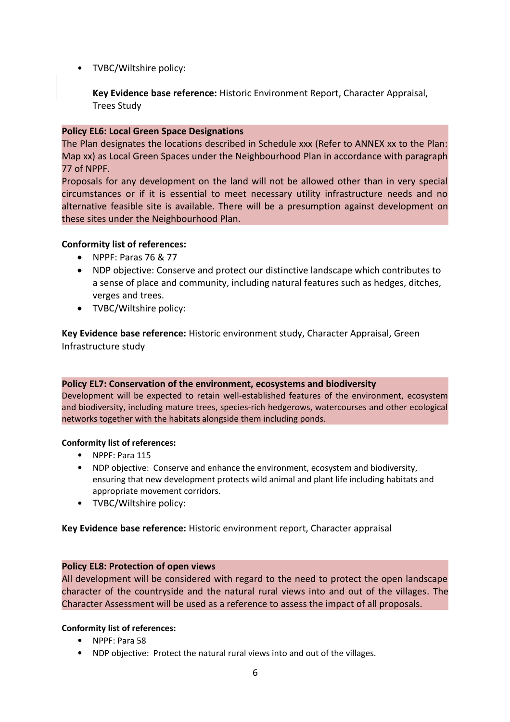• TVBC/Wiltshire policy:

**Key Evidence base reference:** Historic Environment Report, Character Appraisal, Trees Study

## **Policy EL6: Local Green Space Designations**

The Plan designates the locations described in Schedule xxx (Refer to ANNEX xx to the Plan: Map xx) as Local Green Spaces under the Neighbourhood Plan in accordance with paragraph 77 of NPPF.

Proposals for any development on the land will not be allowed other than in very special circumstances or if it is essential to meet necessary utility infrastructure needs and no alternative feasible site is available. There will be a presumption against development on these sites under the Neighbourhood Plan.

## **Conformity list of references:**

- NPPF: Paras 76 & 77
- NDP objective: Conserve and protect our distinctive landscape which contributes to a sense of place and community, including natural features such as hedges, ditches, verges and trees.
- TVBC/Wiltshire policy:

**Key Evidence base reference:** Historic environment study, Character Appraisal, Green Infrastructure study

# **Policy EL7: Conservation of the environment, ecosystems and biodiversity**

Development will be expected to retain well-established features of the environment, ecosystem and biodiversity, including mature trees, species-rich hedgerows, watercourses and other ecological networks together with the habitats alongside them including ponds.

## **Conformity list of references:**

- NPPF: Para 115
- NDP objective: Conserve and enhance the environment, ecosystem and biodiversity, ensuring that new development protects wild animal and plant life including habitats and appropriate movement corridors.
- TVBC/Wiltshire policy:

# **Key Evidence base reference:** Historic environment report, Character appraisal

# **Policy EL8: Protection of open views**

All development will be considered with regard to the need to protect the open landscape character of the countryside and the natural rural views into and out of the villages. The Character Assessment will be used as a reference to assess the impact of all proposals.

# **Conformity list of references:**

- NPPF: Para 58
- NDP objective: Protect the natural rural views into and out of the villages.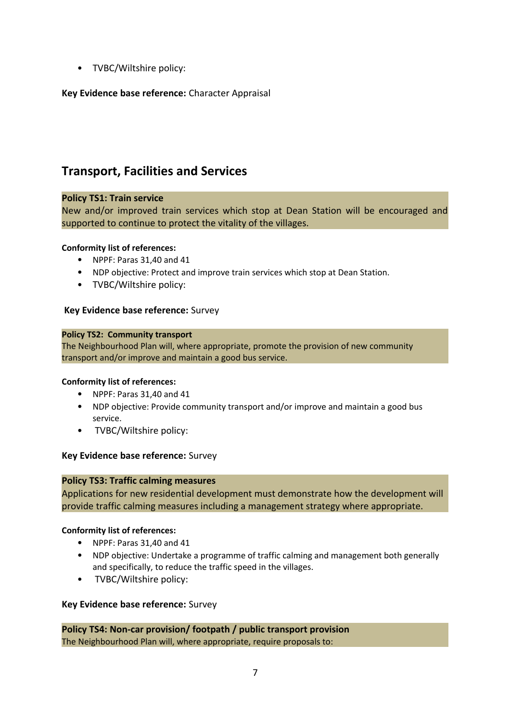• TVBC/Wiltshire policy:

# **Key Evidence base reference:** Character Appraisal

# **Transport, Facilities and Services**

## **Policy TS1: Train service**

New and/or improved train services which stop at Dean Station will be encouraged and supported to continue to protect the vitality of the villages.

#### **Conformity list of references:**

- NPPF: Paras 31,40 and 41
- NDP objective: Protect and improve train services which stop at Dean Station.
- TVBC/Wiltshire policy:

#### **Key Evidence base reference:** Survey

#### **Policy TS2: Community transport**

The Neighbourhood Plan will, where appropriate, promote the provision of new community transport and/or improve and maintain a good bus service.

#### **Conformity list of references:**

- NPPF: Paras 31,40 and 41
- NDP objective: Provide community transport and/or improve and maintain a good bus service.
- TVBC/Wiltshire policy:

#### **Key Evidence base reference:** Survey

#### **Policy TS3: Traffic calming measures**

Applications for new residential development must demonstrate how the development will provide traffic calming measures including a management strategy where appropriate.

#### **Conformity list of references:**

- NPPF: Paras 31,40 and 41
- NDP objective: Undertake a programme of traffic calming and management both generally and specifically, to reduce the traffic speed in the villages.
- TVBC/Wiltshire policy:

#### **Key Evidence base reference:** Survey

**Policy TS4: Non-car provision/ footpath / public transport provision**  The Neighbourhood Plan will, where appropriate, require proposals to: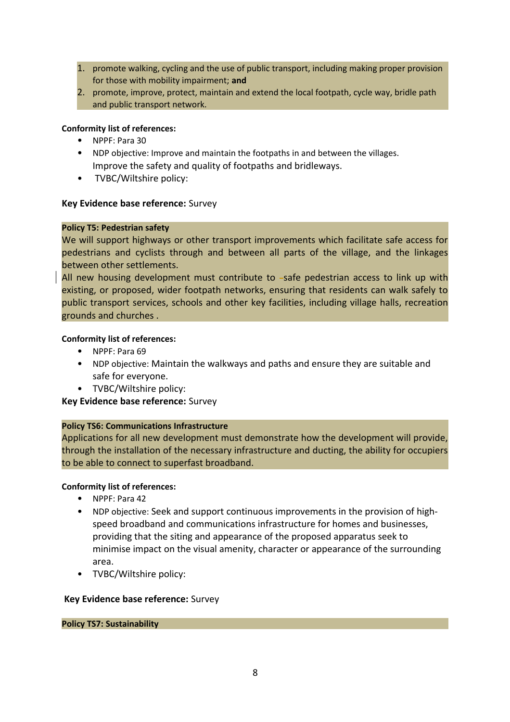- 1. promote walking, cycling and the use of public transport, including making proper provision for those with mobility impairment; **and**
- 2. promote, improve, protect, maintain and extend the local footpath, cycle way, bridle path and public transport network.

#### **Conformity list of references:**

- NPPF: Para 30
- NDP objective: Improve and maintain the footpaths in and between the villages. Improve the safety and quality of footpaths and bridleways.
- TVBC/Wiltshire policy:

#### **Key Evidence base reference:** Survey

#### **Policy T5: Pedestrian safety**

We will support highways or other transport improvements which facilitate safe access for pedestrians and cyclists through and between all parts of the village, and the linkages between other settlements.

All new housing development must contribute to  $-$ safe pedestrian access to link up with existing, or proposed, wider footpath networks, ensuring that residents can walk safely to public transport services, schools and other key facilities, including village halls, recreation grounds and churches .

#### **Conformity list of references:**

- NPPF: Para 69
- NDP objective: Maintain the walkways and paths and ensure they are suitable and safe for everyone.
- TVBC/Wiltshire policy:

## **Key Evidence base reference:** Survey

## **Policy TS6: Communications Infrastructure**

Applications for all new development must demonstrate how the development will provide, through the installation of the necessary infrastructure and ducting, the ability for occupiers to be able to connect to superfast broadband.

#### **Conformity list of references:**

- NPPF: Para 42
- NDP objective: Seek and support continuous improvements in the provision of highspeed broadband and communications infrastructure for homes and businesses, providing that the siting and appearance of the proposed apparatus seek to minimise impact on the visual amenity, character or appearance of the surrounding area.
- TVBC/Wiltshire policy:

#### **Key Evidence base reference:** Survey

#### **Policy TS7: Sustainability**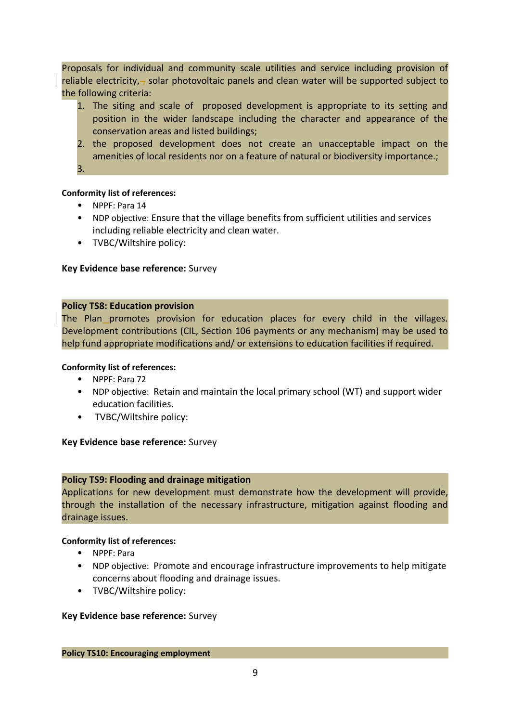Proposals for individual and community scale utilities and service including provision of reliable electricity, $\frac{1}{2}$  solar photovoltaic panels and clean water will be supported subject to the following criteria:

- 1. The siting and scale of proposed development is appropriate to its setting and position in the wider landscape including the character and appearance of the conservation areas and listed buildings;
- 2. the proposed development does not create an unacceptable impact on the amenities of local residents nor on a feature of natural or biodiversity importance.; 3.

## **Conformity list of references:**

- NPPF: Para 14
- NDP objective: Ensure that the village benefits from sufficient utilities and services including reliable electricity and clean water.
- TVBC/Wiltshire policy:

## **Key Evidence base reference:** Survey

## **Policy TS8: Education provision**

The Plan promotes provision for education places for every child in the villages. Development contributions (CIL, Section 106 payments or any mechanism) may be used to help fund appropriate modifications and/ or extensions to education facilities if required.

## **Conformity list of references:**

- NPPF: Para 72
- NDP objective: Retain and maintain the local primary school (WT) and support wider education facilities.
- TVBC/Wiltshire policy:

## **Key Evidence base reference:** Survey

## **Policy TS9: Flooding and drainage mitigation**

Applications for new development must demonstrate how the development will provide, through the installation of the necessary infrastructure, mitigation against flooding and drainage issues.

#### **Conformity list of references:**

- NPPF: Para
- NDP objective: Promote and encourage infrastructure improvements to help mitigate concerns about flooding and drainage issues.
- TVBC/Wiltshire policy:

## **Key Evidence base reference:** Survey

#### **Policy TS10: Encouraging employment**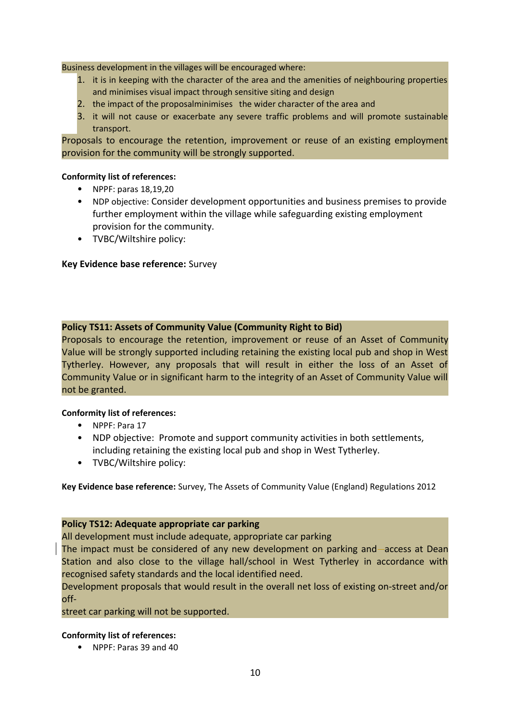Business development in the villages will be encouraged where:

- 1. it is in keeping with the character of the area and the amenities of neighbouring properties and minimises visual impact through sensitive siting and design
- 2. the impact of the proposalminimises the wider character of the area and
- 3. it will not cause or exacerbate any severe traffic problems and will promote sustainable transport.

Proposals to encourage the retention, improvement or reuse of an existing employment provision for the community will be strongly supported.

#### **Conformity list of references:**

- NPPF: paras 18,19,20
- NDP objective: Consider development opportunities and business premises to provide further employment within the village while safeguarding existing employment provision for the community.
- TVBC/Wiltshire policy:

## **Key Evidence base reference:** Survey

## **Policy TS11: Assets of Community Value (Community Right to Bid)**

Proposals to encourage the retention, improvement or reuse of an Asset of Community Value will be strongly supported including retaining the existing local pub and shop in West Tytherley. However, any proposals that will result in either the loss of an Asset of Community Value or in significant harm to the integrity of an Asset of Community Value will not be granted.

## **Conformity list of references:**

- NPPF: Para 17
- NDP objective: Promote and support community activities in both settlements, including retaining the existing local pub and shop in West Tytherley.
- TVBC/Wiltshire policy:

**Key Evidence base reference:** Survey, The Assets of Community Value (England) Regulations 2012

#### **Policy TS12: Adequate appropriate car parking**

## All development must include adequate, appropriate car parking

The impact must be considered of any new development on parking and access at Dean Station and also close to the village hall/school in West Tytherley in accordance with recognised safety standards and the local identified need.

Development proposals that would result in the overall net loss of existing on-street and/or off-

street car parking will not be supported.

#### **Conformity list of references:**

• NPPF: Paras 39 and 40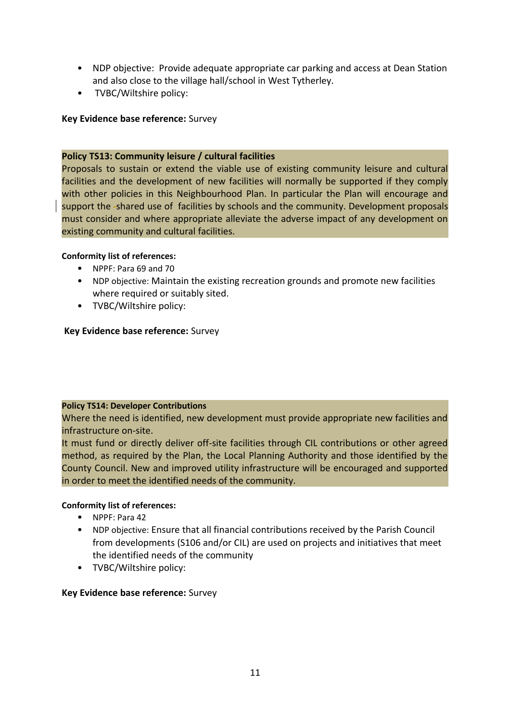- NDP objective: Provide adequate appropriate car parking and access at Dean Station and also close to the village hall/school in West Tytherley.
- TVBC/Wiltshire policy:

## **Key Evidence base reference:** Survey

## **Policy TS13: Community leisure / cultural facilities**

Proposals to sustain or extend the viable use of existing community leisure and cultural facilities and the development of new facilities will normally be supported if they comply with other policies in this Neighbourhood Plan. In particular the Plan will encourage and support the shared use of facilities by schools and the community. Development proposals must consider and where appropriate alleviate the adverse impact of any development on existing community and cultural facilities.

## **Conformity list of references:**

- NPPF: Para 69 and 70
- NDP objective: Maintain the existing recreation grounds and promote new facilities where required or suitably sited.
- TVBC/Wiltshire policy:

## **Key Evidence base reference:** Survey

## **Policy TS14: Developer Contributions**

Where the need is identified, new development must provide appropriate new facilities and infrastructure on-site.

It must fund or directly deliver off-site facilities through CIL contributions or other agreed method, as required by the Plan, the Local Planning Authority and those identified by the County Council. New and improved utility infrastructure will be encouraged and supported in order to meet the identified needs of the community.

## **Conformity list of references:**

- NPPF: Para 42
- NDP objective: Ensure that all financial contributions received by the Parish Council from developments (S106 and/or CIL) are used on projects and initiatives that meet the identified needs of the community
- TVBC/Wiltshire policy:

## **Key Evidence base reference:** Survey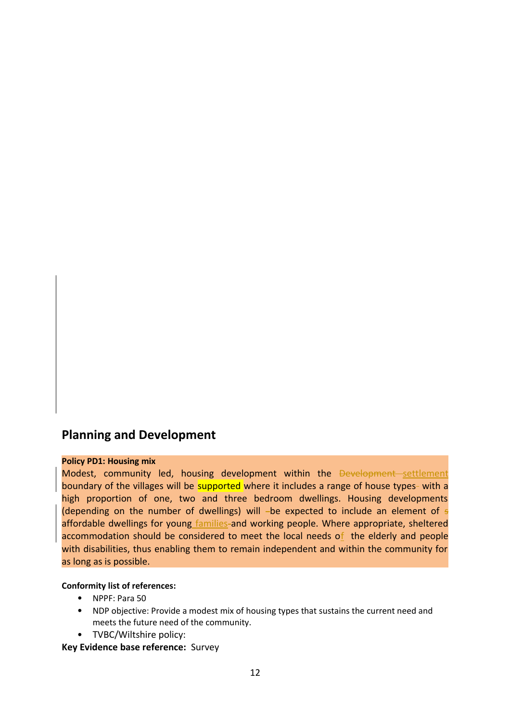# **Planning and Development**

#### **Policy PD1: Housing mix**

Modest, community led, housing development within the Development settlement boundary of the villages will be supported where it includes a range of house types- with a high proportion of one, two and three bedroom dwellings. Housing developments (depending on the number of dwellings) will -be expected to include an element of  $\epsilon$ affordable dwellings for young families-and working people. Where appropriate, sheltered accommodation should be considered to meet the local needs of the elderly and people with disabilities, thus enabling them to remain independent and within the community for as long as is possible.

#### **Conformity list of references:**

- NPPF: Para 50
- NDP objective: Provide a modest mix of housing types that sustains the current need and meets the future need of the community.
- TVBC/Wiltshire policy:

**Key Evidence base reference:** Survey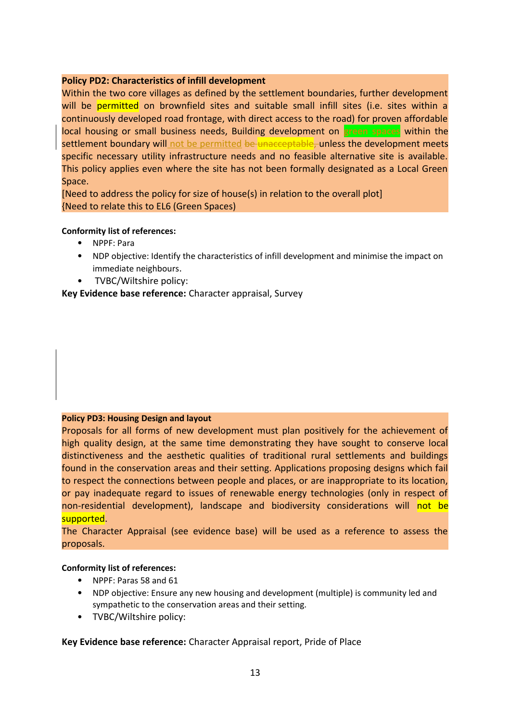#### **Policy PD2: Characteristics of infill development**

Within the two core villages as defined by the settlement boundaries, further development will be permitted on brownfield sites and suitable small infill sites (i.e. sites within a continuously developed road frontage, with direct access to the road) for proven affordable local housing or small business needs, Building development on **green spaces** within the settlement boundary will not be permitted be unacceptable, unless the development meets specific necessary utility infrastructure needs and no feasible alternative site is available. This policy applies even where the site has not been formally designated as a Local Green Space.

[Need to address the policy for size of house(s) in relation to the overall plot] {Need to relate this to EL6 (Green Spaces)

#### **Conformity list of references:**

- NPPF: Para
- NDP objective: Identify the characteristics of infill development and minimise the impact on immediate neighbours.
- TVBC/Wiltshire policy:

**Key Evidence base reference:** Character appraisal, Survey

#### **Policy PD3: Housing Design and layout**

Proposals for all forms of new development must plan positively for the achievement of high quality design, at the same time demonstrating they have sought to conserve local distinctiveness and the aesthetic qualities of traditional rural settlements and buildings found in the conservation areas and their setting. Applications proposing designs which fail to respect the connections between people and places, or are inappropriate to its location, or pay inadequate regard to issues of renewable energy technologies (only in respect of non-residential development), landscape and biodiversity considerations will not be supported.

The Character Appraisal (see evidence base) will be used as a reference to assess the proposals.

#### **Conformity list of references:**

- NPPF: Paras 58 and 61
- NDP objective: Ensure any new housing and development (multiple) is community led and sympathetic to the conservation areas and their setting.
- TVBC/Wiltshire policy:

## **Key Evidence base reference:** Character Appraisal report, Pride of Place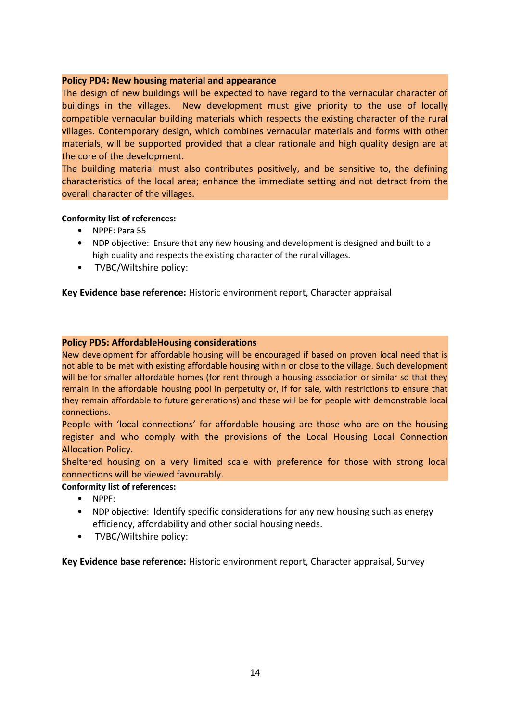## **Policy PD4: New housing material and appearance**

The design of new buildings will be expected to have regard to the vernacular character of buildings in the villages. New development must give priority to the use of locally compatible vernacular building materials which respects the existing character of the rural villages. Contemporary design, which combines vernacular materials and forms with other materials, will be supported provided that a clear rationale and high quality design are at the core of the development.

The building material must also contributes positively, and be sensitive to, the defining characteristics of the local area; enhance the immediate setting and not detract from the overall character of the villages.

#### **Conformity list of references:**

- NPPF: Para 55
- NDP objective: Ensure that any new housing and development is designed and built to a high quality and respects the existing character of the rural villages.
- TVBC/Wiltshire policy:

## **Key Evidence base reference:** Historic environment report, Character appraisal

#### **Policy PD5: AffordableHousing considerations**

New development for affordable housing will be encouraged if based on proven local need that is not able to be met with existing affordable housing within or close to the village. Such development will be for smaller affordable homes (for rent through a housing association or similar so that they remain in the affordable housing pool in perpetuity or, if for sale, with restrictions to ensure that they remain affordable to future generations) and these will be for people with demonstrable local connections.

People with 'local connections' for affordable housing are those who are on the housing register and who comply with the provisions of the Local Housing Local Connection Allocation Policy.

Sheltered housing on a very limited scale with preference for those with strong local connections will be viewed favourably.

#### **Conformity list of references:**

- NPPF:
- NDP objective: Identify specific considerations for any new housing such as energy efficiency, affordability and other social housing needs.
- TVBC/Wiltshire policy:

**Key Evidence base reference:** Historic environment report, Character appraisal, Survey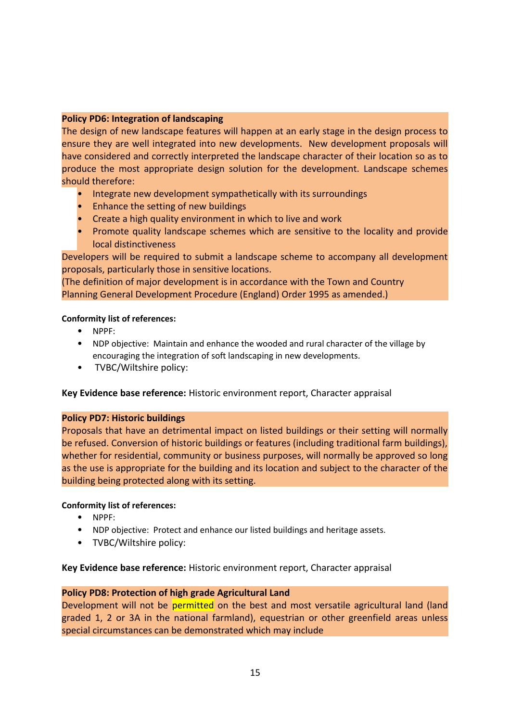## **Policy PD6: Integration of landscaping**

The design of new landscape features will happen at an early stage in the design process to ensure they are well integrated into new developments. New development proposals will have considered and correctly interpreted the landscape character of their location so as to produce the most appropriate design solution for the development. Landscape schemes should therefore:

- Integrate new development sympathetically with its surroundings
- Enhance the setting of new buildings
- Create a high quality environment in which to live and work
- Promote quality landscape schemes which are sensitive to the locality and provide local distinctiveness

Developers will be required to submit a landscape scheme to accompany all development proposals, particularly those in sensitive locations.

(The definition of major development is in accordance with the Town and Country Planning General Development Procedure (England) Order 1995 as amended.)

## **Conformity list of references:**

- NPPF:
- NDP objective: Maintain and enhance the wooded and rural character of the village by encouraging the integration of soft landscaping in new developments.
- TVBC/Wiltshire policy:

**Key Evidence base reference:** Historic environment report, Character appraisal

## **Policy PD7: Historic buildings**

Proposals that have an detrimental impact on listed buildings or their setting will normally be refused. Conversion of historic buildings or features (including traditional farm buildings), whether for residential, community or business purposes, will normally be approved so long as the use is appropriate for the building and its location and subject to the character of the building being protected along with its setting.

#### **Conformity list of references:**

- NPPF:
- NDP objective: Protect and enhance our listed buildings and heritage assets.
- TVBC/Wiltshire policy:

**Key Evidence base reference:** Historic environment report, Character appraisal

## **Policy PD8: Protection of high grade Agricultural Land**

Development will not be permitted on the best and most versatile agricultural land (land graded 1, 2 or 3A in the national farmland), equestrian or other greenfield areas unless special circumstances can be demonstrated which may include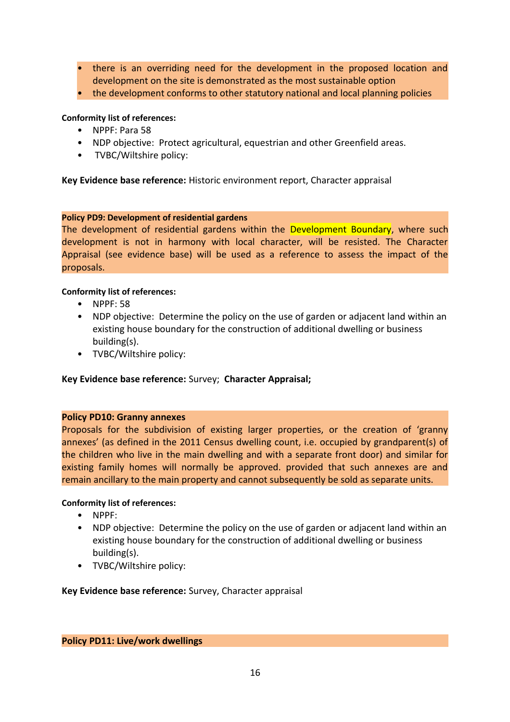- there is an overriding need for the development in the proposed location and development on the site is demonstrated as the most sustainable option
- the development conforms to other statutory national and local planning policies

## **Conformity list of references:**

- NPPF: Para 58
- NDP objective: Protect agricultural, equestrian and other Greenfield areas.
- TVBC/Wiltshire policy:

**Key Evidence base reference:** Historic environment report, Character appraisal

## **Policy PD9: Development of residential gardens**

The development of residential gardens within the Development Boundary, where such development is not in harmony with local character, will be resisted. The Character Appraisal (see evidence base) will be used as a reference to assess the impact of the proposals.

## **Conformity list of references:**

- NPPF: 58
- NDP objective: Determine the policy on the use of garden or adjacent land within an existing house boundary for the construction of additional dwelling or business building(s).
- TVBC/Wiltshire policy:

## **Key Evidence base reference:** Survey; **Character Appraisal;**

## **Policy PD10: Granny annexes**

Proposals for the subdivision of existing larger properties, or the creation of 'granny annexes' (as defined in the 2011 Census dwelling count, i.e. occupied by grandparent(s) of the children who live in the main dwelling and with a separate front door) and similar for existing family homes will normally be approved. provided that such annexes are and remain ancillary to the main property and cannot subsequently be sold as separate units.

#### **Conformity list of references:**

- NPPF:
- NDP objective: Determine the policy on the use of garden or adjacent land within an existing house boundary for the construction of additional dwelling or business building(s).
- TVBC/Wiltshire policy:

**Key Evidence base reference:** Survey, Character appraisal

#### **Policy PD11: Live/work dwellings**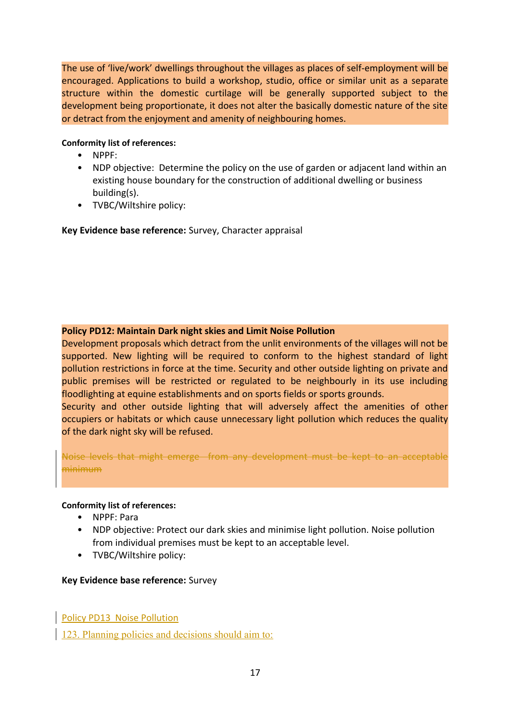The use of 'live/work' dwellings throughout the villages as places of self-employment will be encouraged. Applications to build a workshop, studio, office or similar unit as a separate structure within the domestic curtilage will be generally supported subject to the development being proportionate, it does not alter the basically domestic nature of the site or detract from the enjoyment and amenity of neighbouring homes.

## **Conformity list of references:**

- NPPF:
- NDP objective: Determine the policy on the use of garden or adjacent land within an existing house boundary for the construction of additional dwelling or business building(s).
- TVBC/Wiltshire policy:

**Key Evidence base reference:** Survey, Character appraisal

## **Policy PD12: Maintain Dark night skies and Limit Noise Pollution**

Development proposals which detract from the unlit environments of the villages will not be supported. New lighting will be required to conform to the highest standard of light pollution restrictions in force at the time. Security and other outside lighting on private and public premises will be restricted or regulated to be neighbourly in its use including floodlighting at equine establishments and on sports fields or sports grounds.

Security and other outside lighting that will adversely affect the amenities of other occupiers or habitats or which cause unnecessary light pollution which reduces the quality of the dark night sky will be refused.

Noise levels that might emerge from any development must be kept to an acceptable minimum

#### **Conformity list of references:**

- NPPF: Para
- NDP objective: Protect our dark skies and minimise light pollution. Noise pollution from individual premises must be kept to an acceptable level.
- TVBC/Wiltshire policy:

## **Key Evidence base reference:** Survey

Policy PD13 Noise Pollution

123. Planning policies and decisions should aim to: